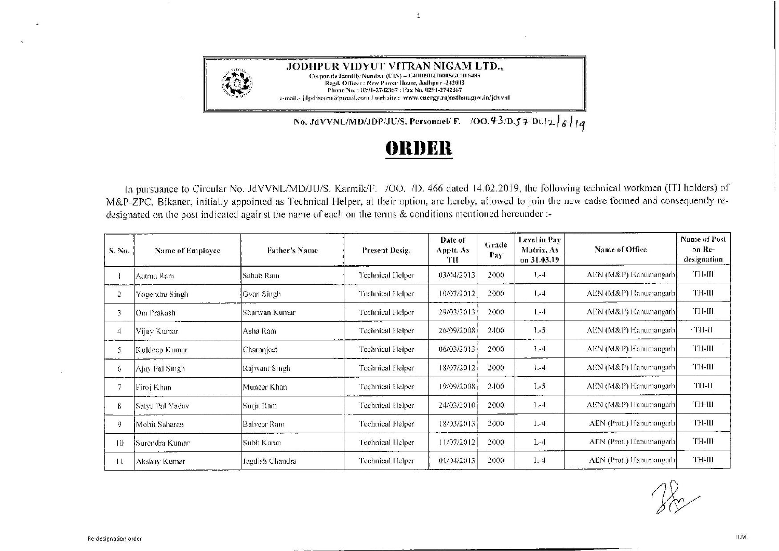

## **f)lll)l~ll**

 $\mathbf{1}$ 

In pursuance to Circular No. JdVVNL/MD/JU/S. Karmik/F. /00. *ID.* 466 dated 14.02.2019, the following technical workmen (!Tl holders) of M&P-ZPC, Bikaner, initially appointed as Technical Helper, at their option, are hereby, allowed to join the new cadre formed and consequently redesignated on the post indicated against the name of each on the terms & conditions mentioned hereunder:-

| S. No. | Name of Employee      | <b>Father's Name</b> | Present Desig.   | Date of<br>Apptt. As<br>TH | Grade<br>Pay | Level in Pay<br>Matrix, As<br>on 31.03.19 | Name of Office          | Name of Post<br>on Re-<br>designation |
|--------|-----------------------|----------------------|------------------|----------------------------|--------------|-------------------------------------------|-------------------------|---------------------------------------|
|        | Aatma Ram             | Sahab Ram            | Technical Helper | 03/04/2013                 | 2000         | $1 - 4$                                   | AEN (M&P) Hanumangarh   | TH-III                                |
| 2      | Yogendra Singh        | Gvan Singh           | Technical Helper | 10/07/2012                 | 2000         | $1. -4$                                   | AEN (M&P) Hanumangarh   | TH-III                                |
| 3      | Om Prakash            | Sharwan Kumar        | Technical Helper | 29/03/2013                 | 2000         | $L - 4$                                   | AEN (M&P) Hanumangarh   | TH-III                                |
| 4      | Vijav Kumar           | Asha Ram             | Technical Helper | 26/09/2008                 | 2400         | $1 - 5$                                   | AEN (M&P) Hanumangarh   | $\cdot$ TH-II                         |
| 5      | Kuldeep Kumar         | Charanject           | Technical Helper | 06/03/2013                 | 2000         | $1 - 4$                                   | AEN (M&P) Hanumangarh   | TH-III                                |
| 6      | Ajay Pal Singh        | Rajwant Singh        | Technical Helper | 18/07/2012                 | 2000         | $1 - 4$                                   | AEN (M&P) Hanumangarh   | TH-III                                |
| 7      | Firoj Khan            | Muncer Khan          | Technical Helper | 19/09/2008                 | 2400         | $L-5$                                     | AEN (M&P) Hanumangarh   | TH-II                                 |
| 8      | Satya Pal Yadav       | Surja Ram            | Technical Helper | 24/03/2010                 | 2000         | $1 - 4$                                   | AEN (M&P) Hanumangarh   | TH-III                                |
| 9      | Mohit Saharan         | Balveer Ram          | Technical Helper | 18/03/2013                 | 2000         | 1.4                                       | AEN (Prot.) Hanumangarh | TH-III                                |
| 10     | <b>Surendra Kumar</b> | Subh Karan           | Technical Helper | 11/07/2012                 | 2000         | $L - 4$                                   | AEN (Prot.) Hanumangarh | <b>TH-III</b>                         |
| 11     | Akshay Kumar          | Jagdish Chandra      | Technical Helper | 01/04/2013                 | 2000         | $1. -4$                                   | AEN (Prot.) Hamumangarh | TH-III                                |

 $28$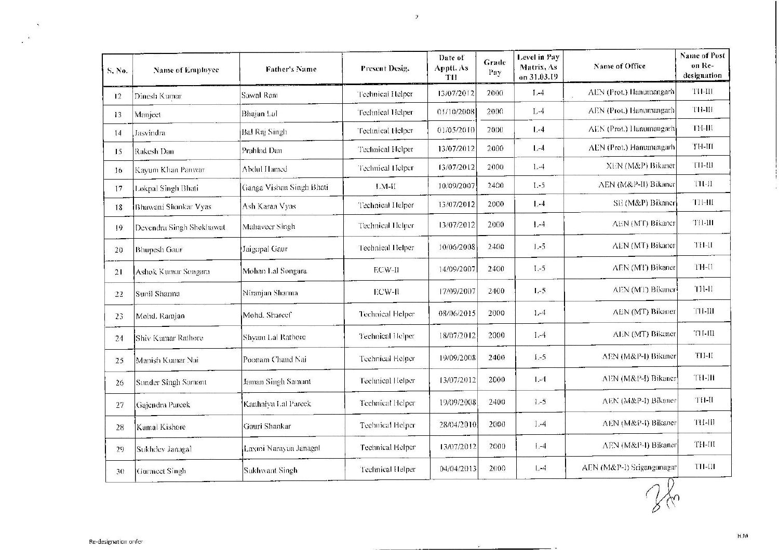| S. No.          | Name of Employee         | Father's Name            | Present Desig.          | Date of<br>Apptt. As<br>TH | Grade<br>Pay | Level in Pay<br>Matrix, As<br>on 31.03.19 | Name of Office                      | <b>Name of Post</b><br>on Re-<br>designation |
|-----------------|--------------------------|--------------------------|-------------------------|----------------------------|--------------|-------------------------------------------|-------------------------------------|----------------------------------------------|
| 12              | Dinesh Kumar             | Sawal Ram                | Technical Helper        | 13/07/2012                 | 2000         | $1, -4$                                   | AEN (Prot.) Hanumangarh             | TH-III                                       |
| 13              | Manject                  | Bhajan Lal               | Technical Helper        | 01/10/2008                 | 2000         | $L-4$                                     | AEN (Prot.) Hanumangarh             | ти-ш                                         |
| 14              | Jasvindra                | <b>Bal Raj Singh</b>     | Technical Helper        | 01/05/2010                 | 2000         | $1 - 4$                                   | AEN (Prot.) Hanumangarh             | TF-III                                       |
| 15              | Rakesh Dan               | Prahlad Dan              | Technical Helper        | 13/07/2012                 | 2000         | $L-4$                                     | AEN (Prot.) Hanumangarh             | ТН-Ш                                         |
| 16 <sup>2</sup> | Kayum Khan Panwar        | Abdul Hamed              | Technical Helper        | 13/07/2012                 | 2000         | $1 - 4$                                   | XEN (M&P) Bikaner                   | TH-III                                       |
| 17              | Lokpal Singh Bhati       | Ganga Vishan Singh Bhati | $L.M-H$                 | 10/09/2007                 | 2400         | $1 - 5$                                   | AEN (M&P-II) Bikancr                | TH-II                                        |
| 18              | Bhawani Shankar Vyas     | Ash Karan Vyas           | Technical Helper        | 13/07/2012                 | 2000         | 1,4                                       | SE (M&P) Bikaner                    | <b>T11-HI</b>                                |
| $ 9\rangle$     | Devendra Singh Shekhawat | Mahaveer Singh           | Technical Helper        | 13/07/2012                 | 2000         | $1,-4$                                    | AEN (MT) Bikaner                    | <b>TH-III</b>                                |
| 20              | <b>Bhupesh Gaur</b>      | Jaigopal Gaur            | Technical Helper        | 10/06/2008                 | 2400         | 1.5                                       | AEN (MT) Bikaner                    | TH-II                                        |
| 21              | Ashok Kumar Songara      | Mohan Lal Songara        | ECW-II                  | 14/09/2007                 | 2400         | $1 - 5$                                   | AEN (MT) Bikaner                    | TH-II                                        |
| 22              | Sunil Sharma             | Niranjan Sharma          | ECW-II                  | 17/09/2007                 | 2400         | $L-5$                                     | AEN (MT) Bikaner                    | TH-II                                        |
| 23              | Mohd. Ramjan             | Mohd. Shareef            | Technical Helper        | 08/06/2015                 | 2000         | $1,-4$                                    | AEN (MT) Bikaner                    | ти-ш                                         |
| 24              | Shiv Kumar Rathore       | Shyani Lal Rathore       | <b>Technical Helper</b> | 18/07/2012                 | 2000         | $1,-4$                                    | AEN (MT) Bikaner                    | TH-III                                       |
| 25              | Manish Kumar Nai         | Poonam Chand Nai         | Technical Helper        | 19/09/2008                 | 2400         | $1.-5$                                    | AEN (M&P-I) Bikaner                 | TII-II                                       |
| 26              | Sunder Singh Samant      | Jaman Singh Samant       | Technical Helper        | 13/07/2012                 | 2000         | $1 - 4$                                   | AEN (M&P-I) Bikaner                 | TH-III                                       |
| 27              | Gajendra Pareek          | Kanhaiya Lal Pareek      | Technical Helper        | 19/09/2008                 | 2400         | $1 - 5$                                   | AEN (M&P-I) Bikaner                 | TH-II                                        |
| 28              | Kanal Kishore            | Gauri Shankar            | Technical Helper        | 28/04/2010                 | 2000         | $1 - 4$                                   | AEN (M&P-I) Bikaner                 | TH-III                                       |
| 29              | Sukhdev Janagal          | Laxmi Narayan Janagal    | Technical Helper        | 13/07/2012                 | 2000         | $1 - 4$                                   | AEN (M&P-I) Bikaner                 | ТН-Ш                                         |
| 30              | Gurmeet Singh            | <b>Sukhwant Singh</b>    | <b>Technical Helper</b> | 04/04/2013                 | 2000         | $L - 4$                                   | AEN (M&P-1) Sriganganagar<br>$\cap$ | TH-01                                        |

 $\overline{\mathbf{z}}$ 

 $\mathcal{X}$ 

H.M